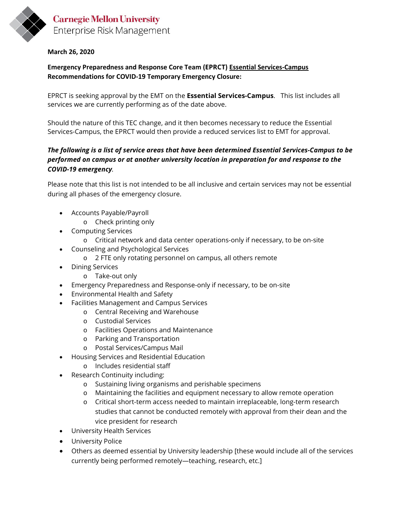

## **Carnegie Mellon University** Enterprise Risk Management

## **March 26, 2020**

**Emergency Preparedness and Response Core Team (EPRCT) Essential Services-Campus Recommendations for COVID-19 Temporary Emergency Closure:**

EPRCT is seeking approval by the EMT on the **Essential Services-Campus**. This list includes all services we are currently performing as of the date above.

Should the nature of this TEC change, and it then becomes necessary to reduce the Essential Services-Campus, the EPRCT would then provide a reduced services list to EMT for approval.

## *The following is a list of service areas that have been determined Essential Services-Campus to be performed on campus or at another university location in preparation for and response to the COVID-19 emergency.*

Please note that this list is not intended to be all inclusive and certain services may not be essential during all phases of the emergency closure.

- Accounts Payable/Payroll
	- o Check printing only
- Computing Services
	- o Critical network and data center operations-only if necessary, to be on-site
- Counseling and Psychological Services
	- o 2 FTE only rotating personnel on campus, all others remote
- Dining Services
	- o Take-out only
- Emergency Preparedness and Response-only if necessary, to be on-site
- Environmental Health and Safety
- Facilities Management and Campus Services
	- o Central Receiving and Warehouse
		- o Custodial Services
		- o Facilities Operations and Maintenance
		- o Parking and Transportation
		- o Postal Services/Campus Mail
- Housing Services and Residential Education
	- o Includes residential staff
- Research Continuity including:
	- o Sustaining living organisms and perishable specimens
	- o Maintaining the facilities and equipment necessary to allow remote operation
	- o Critical short-term access needed to maintain irreplaceable, long-term research studies that cannot be conducted remotely with approval from their dean and the vice president for research
- University Health Services
- University Police
- Others as deemed essential by University leadership [these would include all of the services currently being performed remotely—teaching, research, etc.]